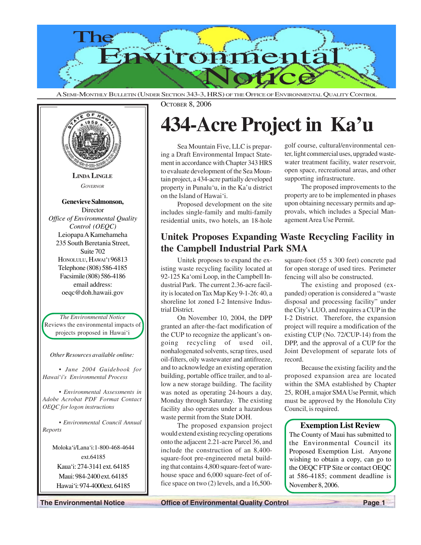

A SEMI-MONTHLY BULLETIN (UNDER SECTION 343-3, HRS) OF THE OFFICE OF ENVIRONMENTAL QUALITY CONTROL



OCTOBER 8, 2006

# **434-Acre Project in Ka'u**

Sea Mountain Five, LLC is preparing a Draft Environmental Impact Statement in accordance with Chapter 343 HRS to evaluate development of the Sea Mountain project, a 434-acre partially developed property in Punalu'u, in the Ka'u district on the Island of Hawai'i.

Proposed development on the site includes single-family and multi-family residential units, two hotels, an 18-hole golf course, cultural/environmental center, light commercial uses, upgraded wastewater treatment facility, water reservoir, open space, recreational areas, and other supporting infrastructure.

The proposed improvements to the property are to be implemented in phases upon obtaining necessary permits and approvals, which includes a Special Management Area Use Permit.

# **Unitek Proposes Expanding Waste Recycling Facility in the Campbell Industrial Park SMA**

Unitek proposes to expand the existing waste recycling facility located at 92-125 Ka'omi Loop, in the Campbell Industrial Park. The current 2.36-acre facility is located on Tax Map Key 9-1-26: 40, a shoreline lot zoned I-2 Intensive Industrial District.

On November 10, 2004, the DPP granted an after-the-fact modification of the CUP to recognize the applicant's ongoing recycling of used oil, nonhalogenated solvents, scrap tires, used oil-filters, oily wastewater and antifreeze, and to acknowledge an existing operation building, portable office trailer, and to allow a new storage building. The facility was noted as operating 24-hours a day, Monday through Saturday. The existing facility also operates under a hazardous waste permit from the State DOH.

The proposed expansion project would extend existing recycling operations onto the adjacent 2.21-acre Parcel 36, and include the construction of an 8,400 square-foot pre-engineered metal building that contains 4,800 square-feet of warehouse space and 6,000 square-feet of office space on two (2) levels, and a 16,500square-foot (55 x 300 feet) concrete pad for open storage of used tires. Perimeter fencing will also be constructed.

The existing and proposed (expanded) operation is considered a "waste disposal and processing facility" under the City's LUO, and requires a CUP in the I-2 District. Therefore, the expansion project will require a modification of the existing CUP (No. 72/CUP-14) from the DPP, and the approval of a CUP for the Joint Development of separate lots of record.

Because the existing facility and the proposed expansion area are located within the SMA established by Chapter 25, ROH, a major SMA Use Permit, which must be approved by the Honolulu City Council, is required.

## **Exemption List Review**

The County of Maui has submitted to the Environmental Council its Proposed Exemption List. Anyone wishing to obtain a copy, can go to the OEQC FTP Site or contact OEQC at 586-4185; comment deadline is November 8, 2006.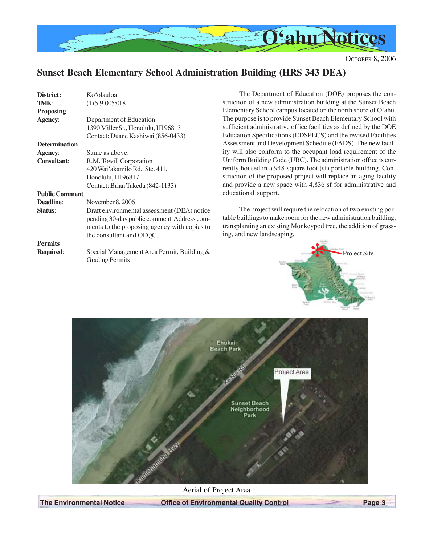

Project Site

# **Sunset Beach Elementary School Administration Building (HRS 343 DEA)**

| District:             | Ko'olauloa                                                                                                                                                             | The Department                                                                                  |
|-----------------------|------------------------------------------------------------------------------------------------------------------------------------------------------------------------|-------------------------------------------------------------------------------------------------|
| TMK:                  | $(1)$ 5-9-005:018                                                                                                                                                      | struction of a new adr                                                                          |
| <b>Proposing</b>      |                                                                                                                                                                        | Elementary School car                                                                           |
| Agency:               | Department of Education                                                                                                                                                | The purpose is to provi                                                                         |
|                       | 1390 Miller St., Honolulu, HI 96813                                                                                                                                    | sufficient administrati                                                                         |
|                       | Contact: Duane Kashiwai (856-0433)                                                                                                                                     | <b>Education Specification</b>                                                                  |
| <b>Determination</b>  |                                                                                                                                                                        | Assessment and Devel                                                                            |
| <b>Agency:</b>        | Same as above.                                                                                                                                                         | ity will also conform                                                                           |
| <b>Consultant:</b>    | R.M. Towill Corporation                                                                                                                                                | Uniform Building Cod                                                                            |
|                       | 420 Wai'akamilo Rd., Ste. 411,                                                                                                                                         | rently housed in a 948                                                                          |
|                       | Honolulu, HI 96817                                                                                                                                                     | struction of the propo                                                                          |
|                       | Contact: Brian Takeda (842-1133)                                                                                                                                       | and provide a new sp                                                                            |
| <b>Public Comment</b> |                                                                                                                                                                        | educational support.                                                                            |
| <b>Deadline:</b>      | November 8, 2006                                                                                                                                                       |                                                                                                 |
| <b>Status:</b>        | Draft environmental assessment (DEA) notice<br>pending 30-day public comment. Address com-<br>ments to the proposing agency with copies to<br>the consultant and OEQC. | The project will<br>table buildings to make<br>transplanting an existi<br>ing, and new landscap |
| <b>Permits</b>        |                                                                                                                                                                        |                                                                                                 |
| Required:             | Special Management Area Permit, Building &<br><b>Grading Permits</b>                                                                                                   | $\frac{1}{2}$                                                                                   |

It of Education (DOE) proposes the conministration building at the Sunset Beach mpus located on the north shore of O'ahu. ide Sunset Beach Elementary School with ve office facilities as defined by the DOE ons (EDSPECS) and the revised Facilities lopment Schedule (FADS). The new facilto the occupant load requirement of the le (UBC). The administration office is cur-8-square foot (sf) portable building. Consed project will replace an aging facility ace with 4,836 sf for administrative and

require the relocation of two existing pore room for the new administration building, ng Monkeypod tree, the addition of grassing.



Aerial of Project Area

**The Environmental Notice Control Control Page 3**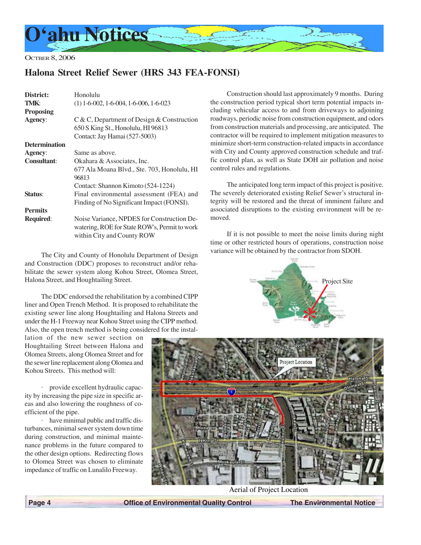

# **Halona Street Relief Sewer (HRS 343 FEA-FONSI)**

| District:            | Honolulu                                      |
|----------------------|-----------------------------------------------|
| TMK:                 | $(1)$ 1-6-002, 1-6-004, 1-6-006, 1-6-023      |
| <b>Proposing</b>     |                                               |
| <b>Agency:</b>       | $C & C$ , Department of Design & Construction |
|                      | 650 S King St., Honolulu, HI 96813            |
|                      | Contact: Jay Hamai (527-5003)                 |
| <b>Determination</b> |                                               |
| <b>Agency:</b>       | Same as above.                                |
| <b>Consultant:</b>   | Okahara & Associates, Inc.                    |
|                      | 677 Ala Moana Blvd., Ste. 703, Honolulu, HI   |
|                      | 96813                                         |
|                      | Contact: Shannon Kimoto (524-1224)            |
| Status:              | Final environmental assessment (FEA) and      |
|                      | Finding of No Significant Impact (FONSI).     |
| <b>Permits</b>       |                                               |
| <b>Required:</b>     | Noise Variance, NPDES for Construction De-    |
|                      | watering, ROE for State ROW's, Permit to work |
|                      | within City and County ROW                    |

The City and County of Honolulu Department of Design and Construction (DDC) proposes to reconstruct and/or rehabilitate the sewer system along Kohou Street, Olomea Street, Halona Street, and Houghtailing Street.

The DDC endorsed the rehabilitation by a combined CIPP liner and Open Trench Method. It is proposed to rehabilitate the existing sewer line along Houghtailing and Halona Streets and under the H-1 Freeway near Kohou Street using the CIPP method. Also, the open trench method is being considered for the instal-

lation of the new sewer section on Houghtailing Street between Halona and Olomea Streets, along Olomea Street and for the sewer line replacement along Olomea and Kohou Streets. This method will:

· provide excellent hydraulic capacity by increasing the pipe size in specific areas and also lowering the roughness of coefficient of the pipe.

· have minimal public and traffic disturbances, minimal sewer system down time during construction, and minimal maintenance problems in the future compared to the other design options. Redirecting flows to Olomea Street was chosen to eliminate impedance of traffic on Lunalilo Freeway.

Construction should last approximately 9 months. During the construction period typical short term potential impacts including vehicular access to and from driveways to adjoining roadways, periodic noise from construction equipment, and odors from construction materials and processing, are anticipated. The contractor will be required to implement mitigation measures to minimize short-term construction-related impacts in accordance with City and County approved construction schedule and traffic control plan, as well as State DOH air pollution and noise control rules and regulations.

The anticipated long term impact of this project is positive. The severely deteriorated existing Relief Sewer's structural integrity will be restored and the threat of imminent failure and associated disruptions to the existing environment will be removed.

If it is not possible to meet the noise limits during night time or other restricted hours of operations, construction noise variance will be obtained by the contractor from SDOH.





Aerial of Project Location

 **Page 4 Control Control Control Control Control The Environmental Notice of Environmental Quality Control The Environmental Notice**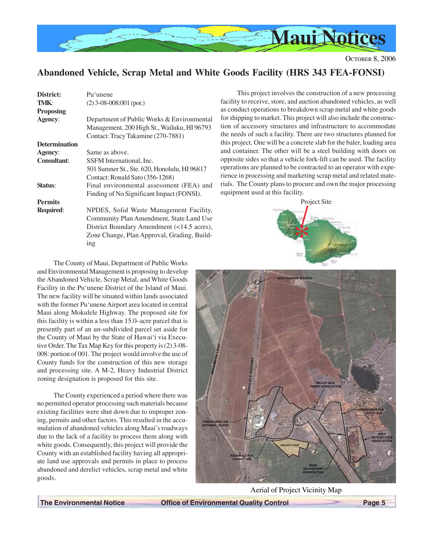

# **Abandoned Vehicle, Scrap Metal and White Goods Facility (HRS 343 FEA-FONSI)**

| District:<br>TMK:           | Pu'unene<br>$(2)$ 3-08-008:001 (por.)                                                                                                                                                   |
|-----------------------------|-----------------------------------------------------------------------------------------------------------------------------------------------------------------------------------------|
| <b>Proposing</b><br>Agency: | Department of Public Works & Environmental<br>Management, 200 High St., Wailuku, HI 96793<br>Contact: Tracy Takamine (270-7881)                                                         |
| <b>Determination</b>        |                                                                                                                                                                                         |
| <b>Agency:</b>              | Same as above.                                                                                                                                                                          |
| <b>Consultant:</b>          | SSFM International, Inc.<br>501 Sumner St., Ste. 620, Honolulu, HI 96817<br>Contact: Ronald Sato (356-1268)                                                                             |
| Status:                     | Final environmental assessment (FEA) and<br>Finding of No Significant Impact (FONSI).                                                                                                   |
| <b>Permits</b>              |                                                                                                                                                                                         |
| <b>Required:</b>            | NPDES, Solid Waste Management Facility,<br>Community Plan Amendment, State Land Use<br>District Boundary Amendment (<14.5 acres),<br>Zone Change, Plan Approval, Grading, Build-<br>ing |

This project involves the construction of a new processing facility to receive, store, and auction abandoned vehicles, as well as conduct operations to breakdown scrap metal and white goods for shipping to market. This project will also include the construction of accessory structures and infrastructure to accommodate the needs of such a facility. There are two structures planned for this project. One will be a concrete slab for the baler, loading area and container. The other will be a steel building with doors on opposite sides so that a vehicle fork-lift can be used. The facility operations are planned to be contracted to an operator with experience in processing and marketing scrap metal and related materials. The County plans to procure and own the major processing equipment used at this facility.



The County of Maui, Department of Public Works and Environmental Management is proposing to develop the Abandoned Vehicle, Scrap Metal, and White Goods Facility in the Pu'unene District of the Island of Maui. The new facility will be situated within lands associated with the former Pu'unene Airport area located in central Maui along Mokulele Highway. The proposed site for this facility is within a less than 15.0–acre parcel that is presently part of an un-subdivided parcel set aside for the County of Maui by the State of Hawai'i via Executive Order. The Tax Map Key for this property is (2) 3-08- 008: portion of 001. The project would involve the use of County funds for the construction of this new storage and processing site. A M-2, Heavy Industrial District zoning designation is proposed for this site.

The County experienced a period where there was no permitted operator processing such materials because existing facilities were shut down due to improper zoning, permits and other factors. This resulted in the accumulation of abandoned vehicles along Maui's roadways due to the lack of a facility to process them along with white goods. Consequently, this project will provide the County with an established facility having all appropriate land use approvals and permits in place to process abandoned and derelict vehicles, scrap metal and white goods.



Aerial of Project Vicinity Map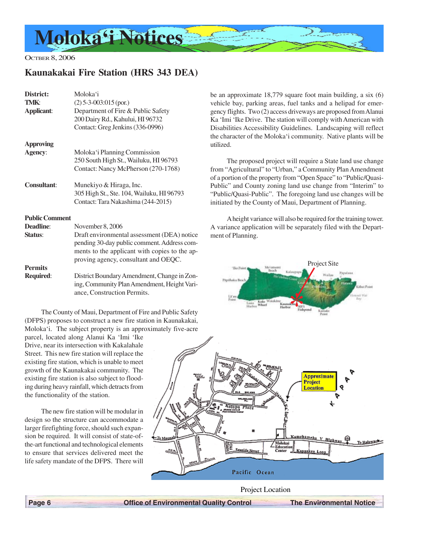

# **Kaunakakai Fire Station (HRS 343 DEA)**

| District:<br>TMK:<br><b>Applicant:</b> | Moloka'i<br>$(2)$ 5-3-003:015 (por.)<br>Department of Fire & Public Safety<br>200 Dairy Rd., Kahului, HI 96732<br>Contact: Greg Jenkins (336-0996)                                  |
|----------------------------------------|-------------------------------------------------------------------------------------------------------------------------------------------------------------------------------------|
| <b>Approving</b>                       |                                                                                                                                                                                     |
| Agency:                                | Moloka'i Planning Commission<br>250 South High St., Wailuku, HI 96793<br>Contact: Nancy McPherson (270-1768)                                                                        |
| <b>Consultant:</b>                     | Munekiyo & Hiraga, Inc.<br>305 High St., Ste. 104, Wailuku, HI 96793<br>Contact: Tara Nakashima (244-2015)                                                                          |
| <b>Public Comment</b>                  |                                                                                                                                                                                     |
| Deadline:                              | November 8, 2006                                                                                                                                                                    |
| Status:                                | Draft environmental assessment (DEA) notice<br>pending 30-day public comment. Address com-<br>ments to the applicant with copies to the ap-<br>proving agency, consultant and OEQC. |
| <b>Permits</b>                         |                                                                                                                                                                                     |
| Required:                              | District Boundary Amendment, Change in Zon-<br>ing, Community Plan Amendment, Height Vari-<br>ance, Construction Permits.                                                           |

The County of Maui, Department of Fire and Public Safety (DFPS) proposes to construct a new fire station in Kaunakakai, Moloka'i. The subject property is an approximately five-acre

parcel, located along Alanui Ka 'Imi 'Ike Drive, near its intersection with Kakalahale Street. This new fire station will replace the existing fire station, which is unable to meet growth of the Kaunakakai community. The existing fire station is also subject to flooding during heavy rainfall, which detracts from the functionality of the station.

The new fire station will be modular in design so the structure can accommodate a larger firefighting force, should such expansion be required. It will consist of state-ofthe-art functional and technological elements to ensure that services delivered meet the life safety mandate of the DFPS. There will be an approximate 18,779 square foot main building, a six (6) vehicle bay, parking areas, fuel tanks and a helipad for emergency flights. Two (2) access driveways are proposed from Alanui Ka 'Imi 'Ike Drive. The station will comply with American with Disabilities Accessibility Guidelines. Landscaping will reflect the character of the Moloka'i community. Native plants will be utilized.

The proposed project will require a State land use change from "Agricultural" to "Urban," a Community Plan Amendment of a portion of the property from "Open Space" to "Public/Quasi-Public" and County zoning land use change from "Interim" to "Public/Quasi-Public". The foregoing land use changes will be initiated by the County of Maui, Department of Planning.

A height variance will also be required for the training tower. A variance application will be separately filed with the Department of Planning.





Project Location

 **Page 6 Control Control Control Control Control The Environmental Notice of Environmental Quality Control The Environmental Notice**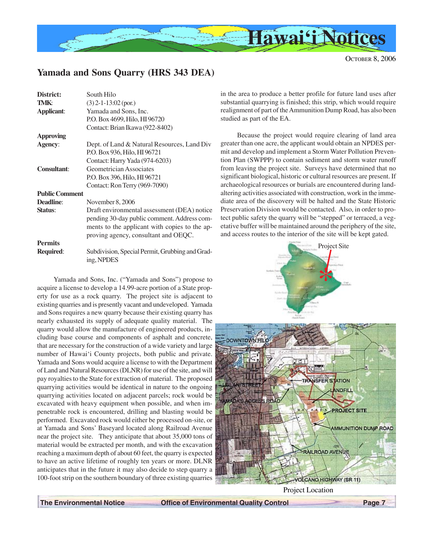

# **Yamada and Sons Quarry (HRS 343 DEA)**

| District:             | South Hilo                                                                                                                                                                          |
|-----------------------|-------------------------------------------------------------------------------------------------------------------------------------------------------------------------------------|
| TMK:                  | $(3)$ 2-1-13:02 (por.)                                                                                                                                                              |
| <b>Applicant:</b>     | Yamada and Sons, Inc.                                                                                                                                                               |
|                       | P.O. Box 4699, Hilo, HI 96720                                                                                                                                                       |
|                       | Contact: Brian Ikawa (922-8402)                                                                                                                                                     |
| <b>Approving</b>      |                                                                                                                                                                                     |
| Agency:               | Dept. of Land & Natural Resources, Land Div                                                                                                                                         |
|                       | P.O. Box 936, Hilo, HI 96721                                                                                                                                                        |
|                       | Contact: Harry Yada (974-6203)                                                                                                                                                      |
| <b>Consultant:</b>    | Geometrician Associates                                                                                                                                                             |
|                       | P.O. Box 396, Hilo, HI 96721                                                                                                                                                        |
|                       | Contact: Ron Terry (969-7090)                                                                                                                                                       |
| <b>Public Comment</b> |                                                                                                                                                                                     |
| Deadline:             | November 8, 2006                                                                                                                                                                    |
| Status:               | Draft environmental assessment (DEA) notice<br>pending 30-day public comment. Address com-<br>ments to the applicant with copies to the ap-<br>proving agency, consultant and OEQC. |
| <b>Permits</b>        |                                                                                                                                                                                     |
| <b>Required:</b>      | Subdivision, Special Permit, Grubbing and Grad-<br>ing, NPDES                                                                                                                       |

Yamada and Sons, Inc. ("Yamada and Sons") propose to acquire a license to develop a 14.99-acre portion of a State property for use as a rock quarry. The project site is adjacent to existing quarries and is presently vacant and undeveloped. Yamada and Sons requires a new quarry because their existing quarry has nearly exhausted its supply of adequate quality material. The quarry would allow the manufacture of engineered products, including base course and components of asphalt and concrete, that are necessary for the construction of a wide variety and large number of Hawai'i County projects, both public and private. Yamada and Sons would acquire a license to with the Department of Land and Natural Resources (DLNR) for use of the site, and will pay royalties to the State for extraction of material. The proposed quarrying activities would be identical in nature to the ongoing quarrying activities located on adjacent parcels; rock would be excavated with heavy equipment when possible, and when impenetrable rock is encountered, drilling and blasting would be performed. Excavated rock would either be processed on-site, or at Yamada and Sons' Baseyard located along Railroad Avenue near the project site. They anticipate that about 35,000 tons of material would be extracted per month, and with the excavation reaching a maximum depth of about 60 feet, the quarry is expected to have an active lifetime of roughly ten years or more. DLNR anticipates that in the future it may also decide to step quarry a 100-foot strip on the southern boundary of three existing quarries in the area to produce a better profile for future land uses after substantial quarrying is finished; this strip, which would require realignment of part of the Ammunition Dump Road, has also been studied as part of the EA.

Because the project would require clearing of land area greater than one acre, the applicant would obtain an NPDES permit and develop and implement a Storm Water Pollution Prevention Plan (SWPPP) to contain sediment and storm water runoff from leaving the project site. Surveys have determined that no significant biological, historic or cultural resources are present. If archaeological resources or burials are encountered during landaltering activities associated with construction, work in the immediate area of the discovery will be halted and the State Historic Preservation Division would be contacted. Also, in order to protect public safety the quarry will be "stepped" or terraced, a vegetative buffer will be maintained around the periphery of the site, and access routes to the interior of the site will be kept gated.





Project Location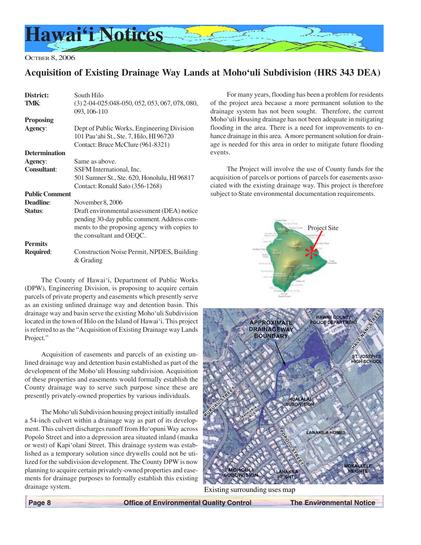

OCTBER 8, 2006

## **Acquisition of Existing Drainage Way Lands at Moho'uli Subdivision (HRS 343 DEA)**

| District:             | South Hilo                                                                                                                                                             |
|-----------------------|------------------------------------------------------------------------------------------------------------------------------------------------------------------------|
| TMK:                  | $(3)$ 2-04-025:048-050, 052, 053, 067, 078, 080,<br>093, 106-110                                                                                                       |
| <b>Proposing</b>      |                                                                                                                                                                        |
| <b>Agency:</b>        | Dept of Public Works, Engineering Division<br>101 Pauʻahi St., Ste. 7, Hilo, HI 96720<br>Contact: Bruce McClure (961-8321)                                             |
| <b>Determination</b>  |                                                                                                                                                                        |
| Agency:               | Same as above.                                                                                                                                                         |
| <b>Consultant:</b>    | SSFM International, Inc.                                                                                                                                               |
|                       | 501 Sumner St., Ste. 620, Honolulu, HI 96817                                                                                                                           |
|                       | Contact: Ronald Sato (356-1268)                                                                                                                                        |
| <b>Public Comment</b> |                                                                                                                                                                        |
| <b>Deadline:</b>      | November 8, 2006                                                                                                                                                       |
| Status:               | Draft environmental assessment (DEA) notice<br>pending 30-day public comment. Address com-<br>ments to the proposing agency with copies to<br>the consultant and OEQC. |
| <b>Permits</b>        |                                                                                                                                                                        |
| <b>Required:</b>      | Construction Noise Permit, NPDES, Building<br>& Grading                                                                                                                |

The County of Hawai'i, Department of Public Works (DPW), Engineering Division, is proposing to acquire certain parcels of private property and easements which presently serve as an existing unlined drainage way and detention basin. This drainage way and basin serve the existing Moho'uli Subdivision located in the town of Hilo on the Island of Hawai'i. This project is referred to as the "Acquisition of Existing Drainage way Lands Project."

Acquisition of easements and parcels of an existing unlined drainage way and detention basin established as part of the development of the Moho'uli Housing subdivision. Acquisition of these properties and easements would formally establish the County drainage way to serve such purpose since these are presently privately-owned properties by various individuals.

The Moho'uli Subdivision housing project initially installed a 54-inch culvert within a drainage way as part of its development. This culvert discharges runoff from Ho'opuni Way across Popolo Street and into a depression area situated inland (mauka or west) of Kapi'olani Street. This drainage system was established as a temporary solution since drywells could not be utilized for the subdivision development. The County DPW is now planning to acquire certain privately-owned properties and easements for drainage purposes to formally establish this existing drainage system.

For many years, flooding has been a problem for residents of the project area because a more permanent solution to the drainage system has not been sought. Therefore, the current Moho'uli Housing drainage has not been adequate in mitigating flooding in the area. There is a need for improvements to enhance drainage in this area. A more permanent solution for drainage is needed for this area in order to mitigate future flooding events.

The Project will involve the use of County funds for the acquisition of parcels or portions of parcels for easements associated with the existing drainage way. This project is therefore subject to State environmental documentation requirements.





Existing surrounding uses map

 **Page 8 Control Control Control Control Control The Environmental Notice of Environmental Quality Control The Environmental Notice**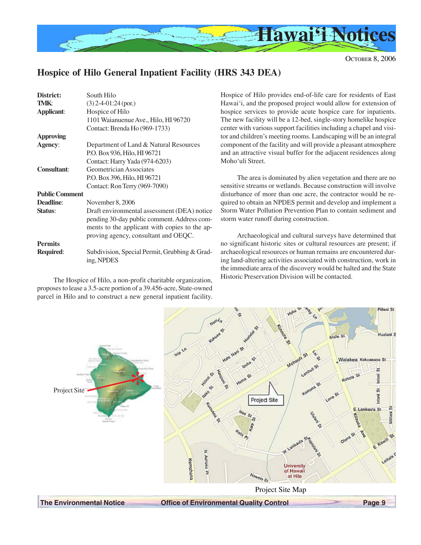

# **Hospice of Hilo General Inpatient Facility (HRS 343 DEA)**

| District:             | South Hilo                                                                                                                                                                          |
|-----------------------|-------------------------------------------------------------------------------------------------------------------------------------------------------------------------------------|
| <b>TMK:</b>           | $(3)$ 2-4-01:24 (por.)                                                                                                                                                              |
| <b>Applicant:</b>     | Hospice of Hilo                                                                                                                                                                     |
|                       | 1101 Waianuenue Ave., Hilo, HI 96720                                                                                                                                                |
|                       | Contact: Brenda Ho (969-1733)                                                                                                                                                       |
| <b>Approving</b>      |                                                                                                                                                                                     |
| <b>Agency:</b>        | Department of Land & Natural Resources                                                                                                                                              |
|                       | P.O. Box 936, Hilo, HI 96721                                                                                                                                                        |
|                       | Contact: Harry Yada (974-6203)                                                                                                                                                      |
| <b>Consultant:</b>    | Geometrician Associates                                                                                                                                                             |
|                       | P.O. Box 396, Hilo, HI 96721                                                                                                                                                        |
|                       | Contact: Ron Terry (969-7090)                                                                                                                                                       |
| <b>Public Comment</b> |                                                                                                                                                                                     |
| Deadline:             | November 8, 2006                                                                                                                                                                    |
| Status:               | Draft environmental assessment (DEA) notice<br>pending 30-day public comment. Address com-<br>ments to the applicant with copies to the ap-<br>proving agency, consultant and OEQC. |
| <b>Permits</b>        |                                                                                                                                                                                     |
| <b>Required:</b>      | Subdivision, Special Permit, Grubbing & Grad-<br>ing, NPDES                                                                                                                         |

The Hospice of Hilo, a non-profit charitable organization, proposes to lease a 3.5-acre portion of a 39.456-acre, State-owned parcel in Hilo and to construct a new general inpatient facility. Hospice of Hilo provides end-of-life care for residents of East Hawai'i, and the proposed project would allow for extension of hospice services to provide acute hospice care for inpatients. The new facility will be a 12-bed, single-story homelike hospice center with various support facilities including a chapel and visitor and children's meeting rooms. Landscaping will be an integral component of the facility and will provide a pleasant atmosphere and an attractive visual buffer for the adjacent residences along Moho'uli Street.

The area is dominated by alien vegetation and there are no sensitive streams or wetlands. Because construction will involve disturbance of more than one acre, the contractor would be required to obtain an NPDES permit and develop and implement a Storm Water Pollution Prevention Plan to contain sediment and storm water runoff during construction.

Archaeological and cultural surveys have determined that no significant historic sites or cultural resources are present; if archaeological resources or human remains are encountered during land-altering activities associated with construction, work in the immediate area of the discovery would be halted and the State Historic Preservation Division will be contacted.

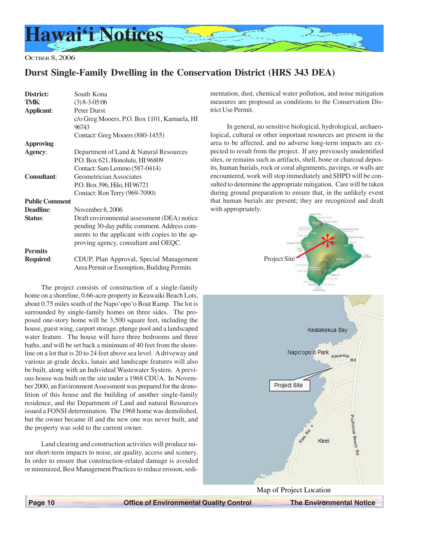

OCTBER 8, 2006

# **Durst Single-Family Dwelling in the Conservation District (HRS 343 DEA)**

| District:             | South Kona                                                                            |
|-----------------------|---------------------------------------------------------------------------------------|
| TMK:                  | $(3)$ 8-3-05:06                                                                       |
| <b>Applicant:</b>     | <b>Peter Durst</b>                                                                    |
|                       | c/o Greg Mooers, P.O. Box 1101, Kamuela, HI                                           |
|                       | 96743                                                                                 |
|                       | Contact: Greg Mooers (880-1455)                                                       |
| <b>Approving</b>      |                                                                                       |
| Agency:               | Department of Land & Natural Resources                                                |
|                       | P.O. Box 621, Honolulu, HI 96809                                                      |
|                       | Contact: Sam Lemmo (587-0414)                                                         |
| <b>Consultant:</b>    | Geometrician Associates                                                               |
|                       | P.O. Box 396, Hilo, HI 96721                                                          |
|                       | Contact: Ron Terry (969-7090)                                                         |
| <b>Public Comment</b> |                                                                                       |
| Deadline:             | November 8, 2006                                                                      |
| Status:               | Draft environmental assessment (DEA) notice                                           |
|                       | pending 30-day public comment. Address com-                                           |
|                       | ments to the applicant with copies to the ap-                                         |
|                       | proving agency, consultant and OEQC.                                                  |
| <b>Permits</b>        |                                                                                       |
| Required:             | CDUP, Plan Approval, Special Management<br>Area Permit or Exemption, Building Permits |
|                       |                                                                                       |

The project consists of construction of a single-family home on a shoreline, 0.66-acre property in Keawaiki Beach Lots, about 0.75 miles south of the Napo'opo'o Boat Ramp. The lot is surrounded by single-family homes on three sides. The proposed one-story home will be 3,500 square feet, including the house, guest wing, carport storage, plunge pool and a landscaped water feature. The house will have three bedrooms and three baths, and will be set back a minimum of 40 feet from the shoreline on a lot that is 20 to 24 feet above sea level. A driveway and various at-grade decks, lanais and landscape features will also be built, along with an Individual Wastewater System. A previous house was built on the site under a 1968 CDUA. In November 2000, an Environment Assessment was prepared for the demolition of this house and the building of another single-family residence, and the Department of Land and natural Resources issued a FONSI determination. The 1968 home was demolished, but the owner became ill and the new one was never built, and the property was sold to the current owner.

Land clearing and construction activities will produce minor short-term impacts to noise, air quality, access and scenery. In order to ensure that construction-related damage is avoided or minimized, Best Management Practices to reduce erosion, sedimentation, dust, chemical water pollution, and noise mitigation measures are proposed as conditions to the Conservation District Use Permit.

In general, no sensitive biological, hydrological, archaeological, cultural or other important resources are present in the area to be affected, and no adverse long-term impacts are expected to result from the project. If any previously unidentified sites, or remains such as artifacts, shell, bone or charcoal deposits, human burials, rock or coral alignments, pavings, or walls are encountered, work will stop immediately and SHPD will be consulted to determine the appropriate mitigation. Care will be taken during ground preparation to ensure that, in the unlikely event that human burials are present; they are recognized and dealt with appropriately.





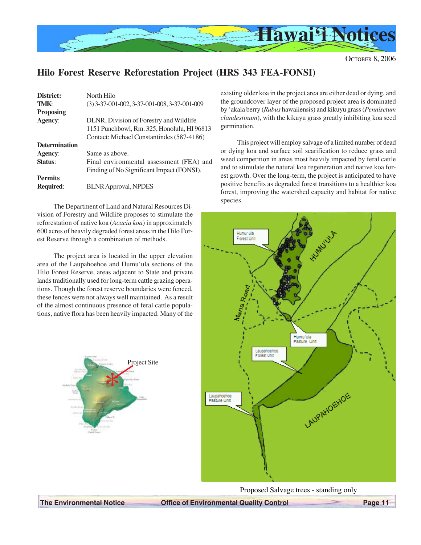

# **Hilo Forest Reserve Reforestation Project (HRS 343 FEA-FONSI)**

| District:            | North Hilo                                     |
|----------------------|------------------------------------------------|
| TMK:                 | $(3)$ 3-37-001-002, 3-37-001-008, 3-37-001-009 |
| <b>Proposing</b>     |                                                |
| <b>Agency:</b>       | DLNR, Division of Forestry and Wildlife        |
|                      | 1151 Punchbowl, Rm. 325, Honolulu, HI 96813    |
|                      | Contact: Michael Constantindes (587-4186)      |
| <b>Determination</b> |                                                |
| Agency:              | Same as above.                                 |
| Status:              | Final environmental assessment (FEA) and       |
|                      | Finding of No Significant Impact (FONSI).      |
| <b>Permits</b>       |                                                |
| <b>Required:</b>     | <b>BLNR Approval, NPDES</b>                    |

The Department of Land and Natural Resources Division of Forestry and Wildlife proposes to stimulate the reforestation of native koa (*Acacia koa*) in approximately 600 acres of heavily degraded forest areas in the Hilo Forest Reserve through a combination of methods.

The project area is located in the upper elevation area of the Laupahoehoe and Humu'ula sections of the Hilo Forest Reserve, areas adjacent to State and private lands traditionally used for long-term cattle grazing operations. Though the forest reserve boundaries were fenced, these fences were not always well maintained. As a result of the almost continuous presence of feral cattle populations, native flora has been heavily impacted. Many of the



existing older koa in the project area are either dead or dying, and the groundcover layer of the proposed project area is dominated by 'akala berry (*Rubus* hawaiiensis) and kikuyu grass (*Pennisetum clandestinum*), with the kikuyu grass greatly inhibiting koa seed germination.

This project will employ salvage of a limited number of dead or dying koa and surface soil scarification to reduce grass and weed competition in areas most heavily impacted by feral cattle and to stimulate the natural koa regeneration and native koa forest growth. Over the long-term, the project is anticipated to have positive benefits as degraded forest transitions to a healthier koa forest, improving the watershed capacity and habitat for native species.



Proposed Salvage trees - standing only

**The Environmental Notice Coffice of Environmental Quality Control Page 11**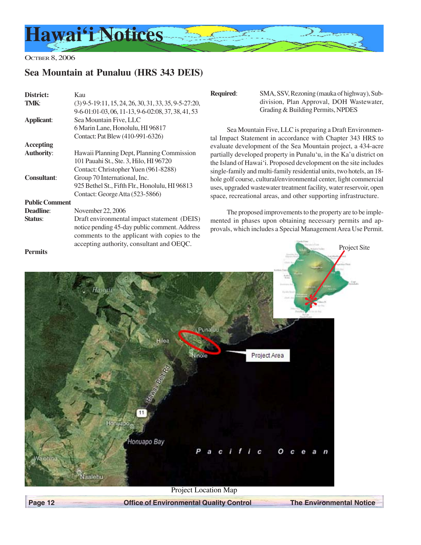

# **Sea Mountain at Punaluu (HRS 343 DEIS)**

| District:             | Kau                                                     |
|-----------------------|---------------------------------------------------------|
| TMK:                  | $(3)$ 9-5-19:11, 15, 24, 26, 30, 31, 33, 35, 9-5-27:20, |
|                       | 9-6-01:01-03, 06, 11-13, 9-6-02:08, 37, 38, 41, 53      |
| Applicant:            | Sea Mountain Five, LLC                                  |
|                       | 6 Marin Lane, Honolulu, HI 96817                        |
|                       | Contact: Pat Blew (410-991-6326)                        |
| <b>Accepting</b>      |                                                         |
| <b>Authority:</b>     | Hawaii Planning Dept, Planning Commission               |
|                       | 101 Pauahi St., Ste. 3, Hilo, HI 96720                  |
|                       | Contact: Christopher Yuen (961-8288)                    |
| <b>Consultant:</b>    | Group 70 International, Inc.                            |
|                       | 925 Bethel St., Fifth Flr., Honolulu, HI 96813          |
|                       | Contact: George Atta (523-5866)                         |
| <b>Public Comment</b> |                                                         |
| <b>Deadline:</b>      | November 22, 2006                                       |
| Status:               | Draft environmental impact statement (DEIS)             |
|                       | notice pending 45-day public comment. Address           |
|                       | comments to the applicant with copies to the            |
|                       | accepting authority, consultant and OEQC.               |

**Required**: SMA, SSV, Rezoning (mauka of highway), Subdivision, Plan Approval, DOH Wastewater, Grading & Building Permits, NPDES

Sea Mountain Five, LLC is preparing a Draft Environmental Impact Statement in accordance with Chapter 343 HRS to evaluate development of the Sea Mountain project, a 434-acre partially developed property in Punalu'u, in the Ka'u district on the Island of Hawai'i. Proposed development on the site includes single-family and multi-family residential units, two hotels, an 18 hole golf course, cultural/environmental center, light commercial uses, upgraded wastewater treatment facility, water reservoir, open space, recreational areas, and other supporting infrastructure.

The proposed improvements to the property are to be implemented in phases upon obtaining necessary permits and approvals, which includes a Special Management Area Use Permit.



**Page 12 Center State Office of Environmental Quality Control The Environmental Notice**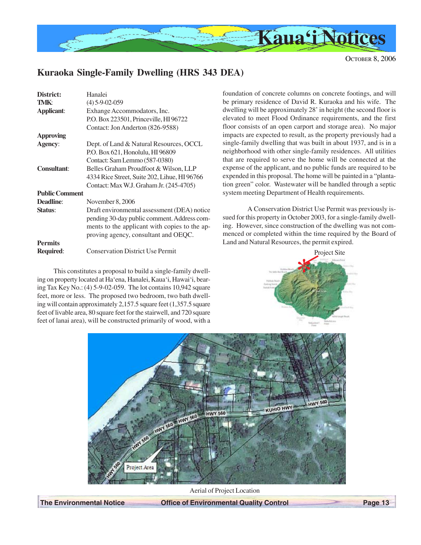

# **Kuraoka Single-Family Dwelling (HRS 343 DEA)**

| District:             | Hanalei                                       |
|-----------------------|-----------------------------------------------|
| TMK:                  | $(4)$ 5-9-02-059                              |
| <b>Applicant:</b>     | Exhange Accommodators, Inc.                   |
|                       | P.O. Box 223501, Princeville, HI 96722        |
|                       | Contact: Jon Anderton (826-9588)              |
| <b>Approving</b>      |                                               |
| <b>Agency:</b>        | Dept. of Land & Natural Resources, OCCL       |
|                       | P.O. Box 621, Honolulu, HI 96809              |
|                       | Contact: Sam Lemmo (587-0380)                 |
| <b>Consultant:</b>    | Belles Graham Proudfoot & Wilson, LLP         |
|                       | 4334 Rice Street, Suite 202, Lihue, HI 96766  |
|                       | Contact: Max W.J. Graham Jr. (245-4705)       |
| <b>Public Comment</b> |                                               |
| <b>Deadline:</b>      | November 8, 2006                              |
| Status:               | Draft environmental assessment (DEA) notice   |
|                       | pending 30-day public comment. Address com-   |
|                       | ments to the applicant with copies to the ap- |
|                       | proving agency, consultant and OEQC.          |
| <b>Permits</b>        |                                               |
| <b>Required:</b>      | <b>Conservation District Use Permit</b>       |
|                       |                                               |

This constitutes a proposal to build a single-family dwelling on property located at Ha'ena, Hanalei, Kaua'i, Hawai'i, bearing Tax Key No.: (4) 5-9-02-059. The lot contains 10,942 square feet, more or less. The proposed two bedroom, two bath dwelling will contain approximately 2,157.5 square feet (1,357.5 square feet of livable area, 80 square feet for the stairwell, and 720 square feet of lanai area), will be constructed primarily of wood, with a

foundation of concrete columns on concrete footings, and will be primary residence of David R. Kuraoka and his wife. The dwelling will be approximately 28' in height (the second floor is elevated to meet Flood Ordinance requirements, and the first floor consists of an open carport and storage area). No major impacts are expected to result, as the property previously had a single-family dwelling that was built in about 1937, and is in a neighborhood with other single-family residences. All utilities that are required to serve the home will be connected at the expense of the applicant, and no public funds are required to be expended in this proposal. The home will be painted in a "plantation green" color. Wastewater will be handled through a septic system meeting Department of Health requirements.

A Conservation District Use Permit was previously issued for this property in October 2003, for a single-family dwelling. However, since construction of the dwelling was not commenced or completed within the time required by the Board of Land and Natural Resources, the permit expired.





Aerial of Project Location

**The Environmental Notice Coffice of Environmental Quality Control Page 13**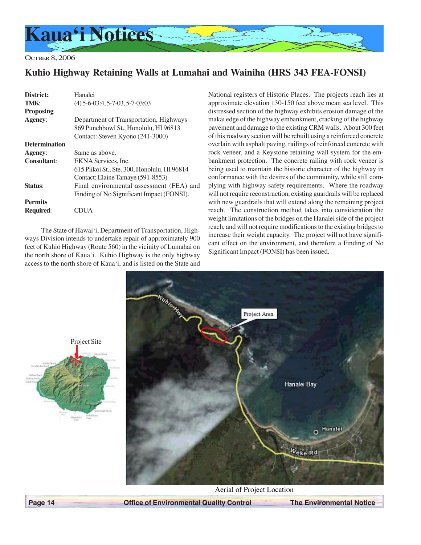

OCTBER 8, 2006

# **Kuhio Highway Retaining Walls at Lumahai and Wainiha (HRS 343 FEA-FONSI)**

| District:            | Hanalei                                      |
|----------------------|----------------------------------------------|
| TMK:                 | $(4)$ 5-6-03:4, 5-7-03, 5-7-03:03            |
| <b>Proposing</b>     |                                              |
| <b>Agency:</b>       | Department of Transportation, Highways       |
|                      | 869 Punchbowl St., Honolulu, HI 96813        |
|                      | Contact: Steven Kyono (241-3000)             |
| <b>Determination</b> |                                              |
| Agency:              | Same as above.                               |
| Consultant:          | EKNA Services, Inc.                          |
|                      | 615 Piikoi St., Ste. 300, Honolulu, HI 96814 |
|                      | Contact: Elaine Tamaye (591-8553)            |
| Status:              | Final environmental assessment (FEA) and     |
|                      | Finding of No Significant Impact (FONSI).    |
| <b>Permits</b>       |                                              |
| <b>Required:</b>     |                                              |

The State of Hawai'i, Department of Transportation, Highways Division intends to undertake repair of approximately 900 feet of Kuhio Highway (Route 560) in the vicinity of Lumahai on the north shore of Kaua'i. Kuhio Highway is the only highway access to the north shore of Kaua'i, and is listed on the State and

National registers of Historic Places. The projects reach lies at approximate elevation 130-150 feet above mean sea level. This distressed section of the highway exhibits erosion damage of the makai edge of the highway embankment, cracking of the highway pavement and damage to the existing CRM walls. About 300 feet of this roadway section will be rebuilt using a reinforced concrete overlain with asphalt paving, railings of reinforced concrete with rock veneer, and a Keystone retaining wall system for the embankment protection. The concrete railing with rock veneer is being used to maintain the historic character of the highway in conformance with the desires of the community, while still complying with highway safety requirements. Where the roadway will not require reconstruction, existing guardrails will be replaced with new guardrails that will extend along the remaining project reach. The construction method takes into consideration the weight limitations of the bridges on the Hanalei side of the project reach, and will not require modifications to the existing bridges to increase their weight capacity. The project will not have significant effect on the environment, and therefore a Finding of No Significant Impact (FONSI) has been issued.





 **Page 14 Control Control Defice of Environmental Quality Control The Environmental Notice**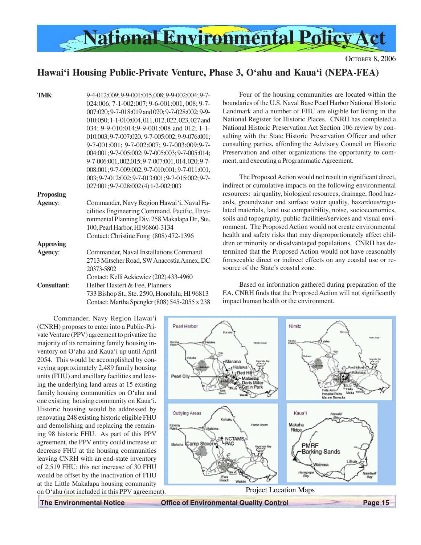

## **Hawai'i Housing Public-Private Venture, Phase 3, O'ahu and Kaua'i (NEPA-FEA)**

Pearl Harbor

| <b>TMK:</b>        | 9-4-012:009; 9-9-001:015,008; 9-9-002:004; 9-7-    |
|--------------------|----------------------------------------------------|
|                    | 024:006; 7-1-002:007; 9-6-001:001, 008; 9-7-       |
|                    | 007:020; 9-7-018:019 and 020; 9-7-028:002; 9-9-    |
|                    | 010:050; 1-1-010:004, 011, 012, 022, 023, 027 and  |
|                    | 034; 9-9-010:014;9-9-001:008 and 012; 1-1-         |
|                    | 010:003; 9-7-007:020. 9-7-005:002; 9-9-076:001;    |
|                    | 9-7-001:001; 9-7-002:007; 9-7-003:009;9-7-         |
|                    | 004:001; 9-7-005:002; 9-7-005:003; 9-7-005:014;    |
|                    | 9-7-006:001, 002, 015; 9-7-007:001, 014, 020; 9-7- |
|                    | 008:001; 9-7-009:002; 9-7-010:001; 9-7-011:001,    |
|                    | 003; 9-7-012:002; 9-7-013:001; 9-7-015:002; 9-7-   |
|                    | 027:001; 9-7-028:002 (4) 1-2-002:003               |
| <b>Proposing</b>   |                                                    |
| Agency:            | Commander, Navy Region Hawai'i, Naval Fa-          |
|                    | cilities Engineering Command, Pacific, Envi-       |
|                    | ronmental Planning Div. 258 Makalapa Dr., Ste.     |
|                    | 100, Pearl Harbor, HI 96860-3134                   |
|                    | Contact: Christine Fong (808) 472-1396             |
| <b>Approving</b>   |                                                    |
| Agency:            | Commander, Naval Installations Command             |
|                    | 2713 Mitscher Road, SW Anacostia Annex, DC         |
|                    | 20373-5802                                         |
|                    | Contact: Kelli Ackiewicz (202) 433-4960            |
| <b>Consultant:</b> | Helber Hastert & Fee, Planners                     |
|                    | 733 Bishop St., Ste. 2590, Honolulu, HI 96813      |
|                    | Contact: Martha Spengler (808) 545-2055 x 238      |

Four of the housing communities are located within the boundaries of the U.S. Naval Base Pearl Harbor National Historic Landmark and a number of FHU are eligible for listing in the National Register for Historic Places. CNRH has completed a National Historic Preservation Act Section 106 review by consulting with the State Historic Preservation Officer and other consulting parties, affording the Advisory Council on Historic Preservation and other organizations the opportunity to comment, and executing a Programmatic Agreement.

The Proposed Action would not result in significant direct, indirect or cumulative impacts on the following environmental resources: air quality, biological resources, drainage, flood hazards, groundwater and surface water quality, hazardous/regulated materials, land use compatibility, noise, socioeconomics, soils and topography, public facilities/services and visual environment. The Proposed Action would not create environmental health and safety risks that may disproportionately affect children or minority or disadvantaged populations. CNRH has determined that the Proposed Action would not have reasonably foreseeable direct or indirect effects on any coastal use or resource of the State's coastal zone.

Based on information gathered during preparation of the EA, CNRH finds that the Proposed Action will not significantly impact human health or the environment.

**Nimitz** 

Commander, Navy Region Hawai'i (CNRH) proposes to enter into a Public-Private Venture (PPV) agreement to privatize the majority of its remaining family housing inventory on O'ahu and Kaua'i up until April 2054. This would be accomplished by conveying approximately 2,489 family housing units (FHU) and ancillary facilities and leasing the underlying land areas at 15 existing family housing communities on O'ahu and one existing housing community on Kaua'i. Historic housing would be addressed by renovating 248 existing historic eligible FHU and demolishing and replacing the remaining 98 historic FHU. As part of this PPV agreement, the PPV entity could increase or decrease FHU at the housing communities leaving CNRH with an end-state inventory of 2,519 FHU; this net increase of 30 FHU would be offset by the inactivation of FHU at the Little Makalapa housing community on O'ahu (not included in this PPV agreement).

Pearl City Outlying Areas **Kaua'i** Makaha Ka'en Ridge NCTAM: Camp Stover Mokeha PMRF Barking Sands Ewa<br>Baach Project Location Maps

**The Environmental Notice Coffice of Environmental Quality Control Page 15**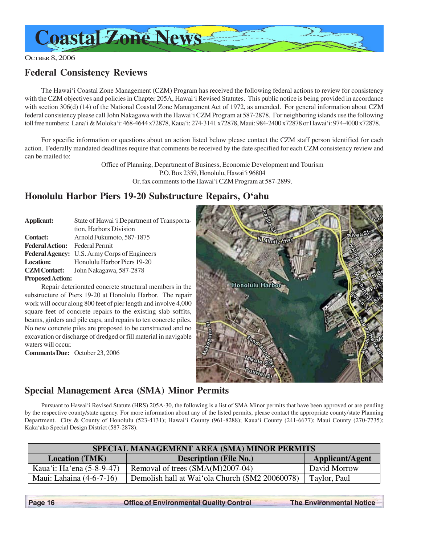

# **Federal Consistency Reviews**

The Hawai'i Coastal Zone Management (CZM) Program has received the following federal actions to review for consistency with the CZM objectives and policies in Chapter 205A, Hawai'i Revised Statutes. This public notice is being provided in accordance with section 306(d) (14) of the National Coastal Zone Management Act of 1972, as amended. For general information about CZM federal consistency please call John Nakagawa with the Hawai'i CZM Program at 587-2878. For neighboring islands use the following toll free numbers: Lana'i & Moloka'i: 468-4644 x72878, Kaua'i: 274-3141 x72878, Maui: 984-2400 x72878 or Hawai'i: 974-4000 x72878.

For specific information or questions about an action listed below please contact the CZM staff person identified for each action. Federally mandated deadlines require that comments be received by the date specified for each CZM consistency review and can be mailed to:

> Office of Planning, Department of Business, Economic Development and Tourism P.O. Box 2359, Honolulu, Hawai'i 96804 Or, fax comments to the Hawai'i CZM Program at 587-2899.

# **Honolulu Harbor Piers 19-20 Substructure Repairs, O'ahu**

| Applicant:                            | State of Hawai'i Department of Transporta-   |
|---------------------------------------|----------------------------------------------|
|                                       | tion, Harbors Division                       |
| <b>Contact:</b>                       | Arnold Fukumoto, 587-1875                    |
| <b>Federal Action:</b> Federal Permit |                                              |
|                                       | Federal Agency: U.S. Army Corps of Engineers |
| <b>Location:</b>                      | Honolulu Harbor Piers 19-20                  |
| <b>CZM</b> Contact:                   | John Nakagawa, 587-2878                      |
| <b>Proposed Action:</b>               |                                              |

Repair deteriorated concrete structural members in the substructure of Piers 19-20 at Honolulu Harbor. The repair work will occur along 800 feet of pier length and involve 4,000 square feet of concrete repairs to the existing slab soffits, beams, girders and pile caps, and repairs to ten concrete piles. No new concrete piles are proposed to be constructed and no excavation or discharge of dredged or fill material in navigable waters will occur.

**Comments Due:** October 23, 2006



## **Special Management Area (SMA) Minor Permits**

Pursuant to Hawai'i Revised Statute (HRS) 205A-30, the following is a list of SMA Minor permits that have been approved or are pending by the respective county/state agency. For more information about any of the listed permits, please contact the appropriate county/state Planning Department. City & County of Honolulu (523-4131); Hawai'i County (961-8288); Kaua'i County (241-6677); Maui County (270-7735); Kaka'ako Special Design District (587-2878).

| SPECIAL MANAGEMENT AREA (SMA) MINOR PERMITS                                      |                                                |              |
|----------------------------------------------------------------------------------|------------------------------------------------|--------------|
| <b>Applicant/Agent</b><br><b>Description (File No.)</b><br><b>Location</b> (TMK) |                                                |              |
| Kaua'i: Ha'ena (5-8-9-47)                                                        | Removal of trees (SMA(M)2007-04)               | David Morrow |
| Maui: Lahaina $(4-6-7-16)$                                                       | Demolish hall at Wai'ola Church (SM2 20060078) | Taylor, Paul |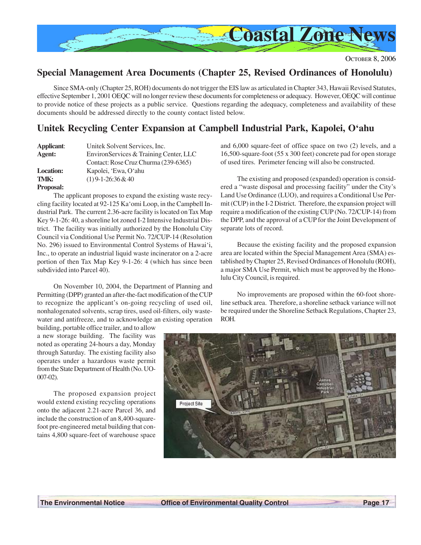

## **Special Management Area Documents (Chapter 25, Revised Ordinances of Honolulu)**

Since SMA-only (Chapter 25, ROH) documents do not trigger the EIS law as articulated in Chapter 343, Hawaii Revised Statutes, effective September 1, 2001 OEQC will no longer review these documents for completeness or adequacy. However, OEQC will continue to provide notice of these projects as a public service. Questions regarding the adequacy, completeness and availability of these documents should be addressed directly to the county contact listed below.

# **Unitek Recycling Center Expansion at Campbell Industrial Park, Kapolei, O'ahu**

| Applicant:       | Unitek Solvent Services, Inc.          |
|------------------|----------------------------------------|
| Agent:           | EnvironServices & Training Center, LLC |
|                  | Contact: Rose Cruz Churma (239-6365)   |
| <b>Location:</b> | Kapolei, 'Ewa, O'ahu                   |
| TMK:             | $(1)$ 9-1-26:36 & 40                   |

#### **Proposal:**

The applicant proposes to expand the existing waste recycling facility located at 92-125 Ka'omi Loop, in the Campbell Industrial Park. The current 2.36-acre facility is located on Tax Map Key 9-1-26: 40, a shoreline lot zoned I-2 Intensive Industrial District. The facility was initially authorized by the Honolulu City Council via Conditional Use Permit No. 72/CUP-14 (Resolution No. 296) issued to Environmental Control Systems of Hawai'i, Inc., to operate an industrial liquid waste incinerator on a 2-acre portion of then Tax Map Key 9-1-26: 4 (which has since been subdivided into Parcel 40).

On November 10, 2004, the Department of Planning and Permitting (DPP) granted an after-the-fact modification of the CUP to recognize the applicant's on-going recycling of used oil, nonhalogenated solvents, scrap tires, used oil-filters, oily wastewater and antifreeze, and to acknowledge an existing operation

building, portable office trailer, and to allow a new storage building. The facility was noted as operating 24-hours a day, Monday through Saturday. The existing facility also operates under a hazardous waste permit from the State Department of Health (No. UO-007-02).

The proposed expansion project would extend existing recycling operations onto the adjacent 2.21-acre Parcel 36, and include the construction of an 8,400-squarefoot pre-engineered metal building that contains 4,800 square-feet of warehouse space

and 6,000 square-feet of office space on two (2) levels, and a 16,500-square-foot (55 x 300 feet) concrete pad for open storage of used tires. Perimeter fencing will also be constructed.

The existing and proposed (expanded) operation is considered a "waste disposal and processing facility" under the City's Land Use Ordinance (LUO), and requires a Conditional Use Permit (CUP) in the I-2 District. Therefore, the expansion project will require a modification of the existing CUP (No. 72/CUP-14) from the DPP, and the approval of a CUP for the Joint Development of separate lots of record.

Because the existing facility and the proposed expansion area are located within the Special Management Area (SMA) established by Chapter 25, Revised Ordinances of Honolulu (ROH), a major SMA Use Permit, which must be approved by the Honolulu City Council, is required.

No improvements are proposed within the 60-foot shoreline setback area. Therefore, a shoreline setback variance will not be required under the Shoreline Setback Regulations, Chapter 23, ROH.

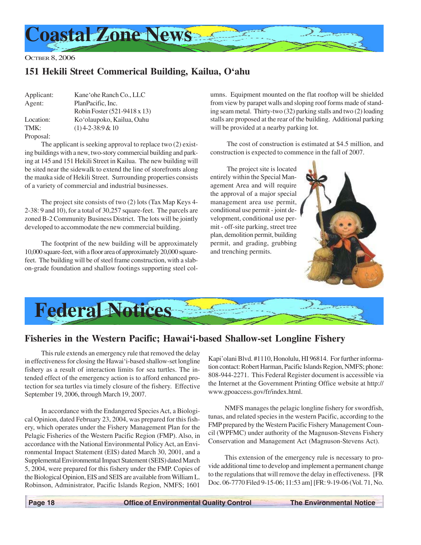

# **151 Hekili Street Commerical Building, Kailua, O'ahu**

| Applicant: | Kane'ohe Ranch Co., LLC      |
|------------|------------------------------|
| Agent:     | PlanPacific, Inc.            |
|            | Robin Foster (521-9418 x 13) |
| Location:  | Ko'olaupoko, Kailua, Oahu    |
| TMK:       | $(1)$ 4-2-38:9 & 10          |
| Proposal:  |                              |

The applicant is seeking approval to replace two (2) existing buildings with a new, two-story commercial building and parking at 145 and 151 Hekili Street in Kailua. The new building will be sited near the sidewalk to extend the line of storefronts along the mauka side of Hekili Street. Surrounding properties consists of a variety of commercial and industrial businesses.

The project site consists of two (2) lots (Tax Map Keys 4- 2-38: 9 and 10), for a total of 30,257 square-feet. The parcels are zoned B-2 Community Business District. The lots will be jointly developed to accommodate the new commercial building.

The footprint of the new building will be approximately 10,000 square-feet, with a floor area of approximately 20,000 squarefeet. The building will be of steel frame construction, with a slabon-grade foundation and shallow footings supporting steel columns. Equipment mounted on the flat rooftop will be shielded from view by parapet walls and sloping roof forms made of standing seam metal. Thirty-two (32) parking stalls and two (2) loading stalls are proposed at the rear of the building. Additional parking will be provided at a nearby parking lot.

The cost of construction is estimated at \$4.5 million, and construction is expected to commence in the fall of 2007.

The project site is located entirely within the Special Management Area and will require the approval of a major special management area use permit, conditional use permit - joint development, conditional use permit - off-site parking, street tree plan, demolition permit, building permit, and grading, grubbing and trenching permits.





## **Fisheries in the Western Pacific; Hawai'i-based Shallow-set Longline Fishery**

This rule extends an emergency rule that removed the delay in effectiveness for closing the Hawai'i-based shallow-set longline fishery as a result of interaction limits for sea turtles. The intended effect of the emergency action is to afford enhanced protection for sea turtles via timely closure of the fishery. Effective September 19, 2006, through March 19, 2007.

In accordance with the Endangered Species Act, a Biological Opinion, dated February 23, 2004, was prepared for this fishery, which operates under the Fishery Management Plan for the Pelagic Fisheries of the Western Pacific Region (FMP). Also, in accordance with the National Environmental Policy Act, an Environmental Impact Statement (EIS) dated March 30, 2001, and a Supplemental Environmental Impact Statement (SEIS) dated March 5, 2004, were prepared for this fishery under the FMP. Copies of the Biological Opinion, EIS and SEIS are available from William L. Robinson, Administrator, Pacific Islands Region, NMFS; 1601 Kapi'olani Blvd. #1110, Honolulu, HI 96814. For further information contact: Robert Harman, Pacific Islands Region, NMFS; phone: 808-944-2271. This Federal Register document is accessible via the Internet at the Government Printing Office website at http:// www.gpoaccess.gov/fr/index.html.

NMFS manages the pelagic longline fishery for swordfish, tunas, and related species in the western Pacific, according to the FMP prepared by the Western Pacific Fishery Management Council (WPFMC) under authority of the Magnuson-Stevens Fishery Conservation and Management Act (Magnuson-Stevens Act).

This extension of the emergency rule is necessary to provide additional time to develop and implement a permanent change to the regulations that will remove the delay in effectiveness. [FR Doc. 06-7770 Filed 9-15-06; 11:53 am] [FR: 9-19-06 (Vol. 71, No.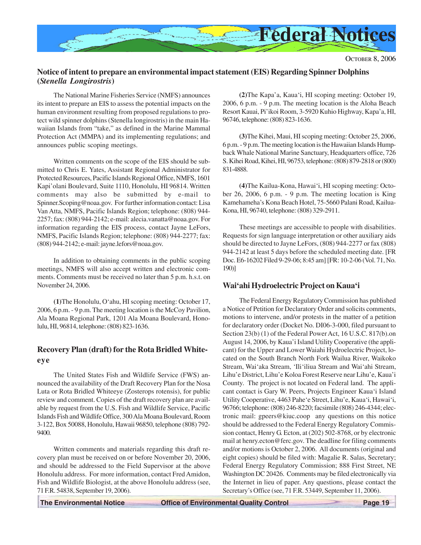

## **Notice of intent to prepare an environmental impact statement (EIS) Regarding Spinner Dolphins (***Stenella Longirostris***)**

The National Marine Fisheries Service (NMFS) announces its intent to prepare an EIS to assess the potential impacts on the human environment resulting from proposed regulations to protect wild spinner dolphins (Stenella longirostris) in the main Hawaiian Islands from "take," as defined in the Marine Mammal Protection Act (MMPA) and its implementing regulations; and announces public scoping meetings.

Written comments on the scope of the EIS should be submitted to Chris E. Yates, Assistant Regional Administrator for Protected Resources, Pacific Islands Regional Office, NMFS, 1601 Kapi'olani Boulevard, Suite 1110, Honolulu, HI 96814. Written comments may also be submitted by e-mail to Spinner.Scoping@noaa.gov. For further information contact: Lisa Van Atta, NMFS, Pacific Islands Region; telephone: (808) 944- 2257; fax: (808) 944-2142; e-mail: alecia.vanatta@noaa.gov. For information regarding the EIS process, contact Jayne LeFors, NMFS, Pacific Islands Region; telephone: (808) 944-2277; fax: (808) 944-2142; e-mail: jayne.lefors@noaa.gov.

In addition to obtaining comments in the public scoping meetings, NMFS will also accept written and electronic comments. Comments must be received no later than 5 p.m. h.s.t. on November 24, 2006.

**(1)**The Honolulu, O'ahu, HI scoping meeting: October 17, 2006, 6 p.m. - 9 p.m. The meeting location is the McCoy Pavilion, Ala Moana Regional Park, 1201 Ala Moana Boulevard, Honolulu, HI, 96814, telephone: (808) 823-1636.

## **Recovery Plan (draft) for the Rota Bridled Whiteeye**

The United States Fish and Wildlife Service (FWS) announced the availability of the Draft Recovery Plan for the Nosa Luta or Rota Bridled Whiteeye (Zosterops rotensis), for public review and comment. Copies of the draft recovery plan are available by request from the U.S. Fish and Wildlife Service, Pacific Islands Fish and Wildlife Office, 300 Ala Moana Boulevard, Room 3-122, Box 50088, Honolulu, Hawaii 96850, telephone (808) 792- 9400.

Written comments and materials regarding this draft recovery plan must be received on or before November 20, 2006, and should be addressed to the Field Supervisor at the above Honolulu address. For more information, contact Fred Amidon, Fish and Wildlife Biologist, at the above Honolulu address (see, 71 F.R. 54838, September 19, 2006).

**(2)**The Kapa'a, Kaua'i, HI scoping meeting: October 19, 2006, 6 p.m. - 9 p.m. The meeting location is the Aloha Beach Resort Kauai, Pi'ikoi Room, 3-5920 Kuhio Highway, Kapa'a, HI, 96746, telephone: (808) 823-1636.

**(3)**The Kihei, Maui, HI scoping meeting: October 25, 2006, 6 p.m. - 9 p.m. The meeting location is the Hawaiian Islands Humpback Whale National Marine Sanctuary, Headquarters office, 726 S. Kihei Road, Kihei, HI, 96753, telephone: (808) 879-2818 or (800) 831-4888.

**(4)**The Kailua-Kona, Hawai'i, HI scoping meeting: October 26, 2006, 6 p.m. - 9 p.m. The meeting location is King Kamehameha's Kona Beach Hotel, 75-5660 Palani Road, Kailua-Kona, HI, 96740, telephone: (808) 329-2911.

These meetings are accessible to people with disabilities. Requests for sign language interpretation or other auxiliary aids should be directed to Jayne LeFors, (808) 944-2277 or fax (808) 944-2142 at least 5 days before the scheduled meeting date. [FR Doc. E6-16202 Filed 9-29-06; 8:45 am] [FR: 10-2-06 (Vol. 71, No. 190)]

## **Wai'ahi Hydroelectric Project on Kaua'i**

The Federal Energy Regulatory Commission has published a Notice of Petition for Declaratory Order and solicits comments, motions to intervene, and/or protests in the matter of a petition for declaratory order (Docket No. DI06-3-000, filed pursuant to Section 23(b) (1) of the Federal Power Act, 16 U.S.C. 817(b).on August 14, 2006, by Kaua'i Island Utility Cooperative (the applicant) for the Upper and Lower Waiahi Hydroelectric Project, located on the South Branch North Fork Wailua River, Waikoko Stream, Wai'aka Stream, 'Ili'iliua Stream and Wai'ahi Stream, Lihu'e District, Lihu'e Koloa Forest Reserve near Lihu'e, Kaua'i County. The project is not located on Federal land. The applicant contact is Gary W. Peers, Projects Engineer Kaua'i Island Utility Cooperative, 4463 Pahe'e Street, Lihu'e, Kaua'i, Hawai'i, 96766; telephone: (808) 246-8220; facsimile (808) 246-4344; electronic mail: gpeers@kiuc.coop any questions on this notice should be addressed to the Federal Energy Regulatory Commission contact, Henry G. Ecton, at (202) 502-8768, or by electronic mail at henry.ecton@ferc.gov. The deadline for filing comments and/or motions is October 2, 2006. All documents (original and eight copies) should be filed with: Magalie R. Salas, Secretary; Federal Energy Regulatory Commission; 888 First Street, NE Washington DC 20426. Comments may be filed electronically via the Internet in lieu of paper. Any questions, please contact the Secretary's Office (see, 71 F.R. 53449, September 11, 2006).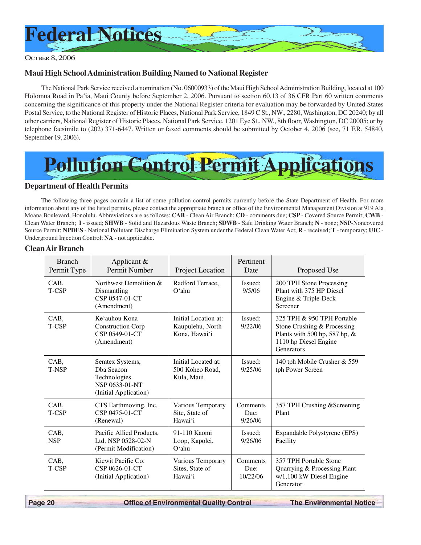

## **Maui High School Administration Building Named to National Register**

The National Park Service received a nomination (No. 06000933) of the Maui High School Administration Building, located at 100 Holomua Road in Pa'ia, Maui County before September 2, 2006. Pursuant to section 60.13 of 36 CFR Part 60 written comments concerning the significance of this property under the National Register criteria for evaluation may be forwarded by United States Postal Service, to the National Register of Historic Places, National Park Service, 1849 C St., NW., 2280, Washington, DC 20240; by all other carriers, National Register of Historic Places, National Park Service, 1201 Eye St., NW., 8th floor, Washington, DC 20005; or by telephone facsimile to (202) 371-6447. Written or faxed comments should be submitted by October 4, 2006 (see, 71 F.R. 54840, September 19, 2006).



#### **Department of Health Permits**

The following three pages contain a list of some pollution control permits currently before the State Department of Health. For more information about any of the listed permits, please contact the appropriate branch or office of the Environmental Management Division at 919 Ala Moana Boulevard, Honolulu. Abbreviations are as follows: **CAB** - Clean Air Branch; **CD** - comments due; **CSP** - Covered Source Permit; **CWB** - Clean Water Branch; **I** - issued; **SHWB** - Solid and Hazardous Waste Branch; **SDWB** - Safe Drinking Water Branch; **N** - none; **NSP**-Noncovered Source Permit; **NPDES** - National Pollutant Discharge Elimination System under the Federal Clean Water Act; **R** - received; **T** - temporary; **UIC** - Underground Injection Control; **NA** - not applicable.

#### **Clean Air Branch**

| <b>Branch</b><br>Permit Type | Applicant $\&$<br>Permit Number                                                          | Project Location                                          | Pertinent<br>Date            | Proposed Use                                                                                                                      |
|------------------------------|------------------------------------------------------------------------------------------|-----------------------------------------------------------|------------------------------|-----------------------------------------------------------------------------------------------------------------------------------|
| CAB,<br>T-CSP                | Northwest Demolition &<br>Dismantling<br>CSP 0547-01-CT<br>(Amendment)                   | Radford Terrace,<br>$O4$ hu                               | Issued:<br>9/5/06            | 200 TPH Stone Processing<br>Plant with 375 HP Diesel<br>Engine & Triple-Deck<br>Screener                                          |
| CAB,<br>T-CSP                | Ke'auhou Kona<br><b>Construction Corp</b><br>CSP 0549-01-CT<br>(Amendment)               | Initial Location at:<br>Kaupulehu, North<br>Kona, Hawai'i | Issued:<br>9/22/06           | 325 TPH & 950 TPH Portable<br>Stone Crushing & Processing<br>Plants with 500 hp, 587 hp, &<br>1110 hp Diesel Engine<br>Generators |
| CAB,<br>T-NSP                | Semtex Systems,<br>Dba Seacon<br>Technologies<br>NSP 0633-01-NT<br>(Initial Application) | Initial Located at:<br>500 Koheo Road,<br>Kula, Maui      | Issued:<br>9/25/06           | 140 tph Mobile Crusher & 559<br>tph Power Screen                                                                                  |
| CAB,<br>T-CSP                | CTS Earthmoving, Inc.<br>CSP 0475-01-CT<br>(Renewal)                                     | Various Temporary<br>Site, State of<br>Hawai'i            | Comments<br>Due:<br>9/26/06  | 357 TPH Crushing & Screening<br>Plant                                                                                             |
| CAB,<br><b>NSP</b>           | Pacific Allied Products.<br>Ltd. NSP 0528-02-N<br>(Permit Modification)                  | 91-110 Kaomi<br>Loop, Kapolei,<br>$O4$ hu                 | Issued:<br>9/26/06           | Expandable Polystyrene (EPS)<br>Facility                                                                                          |
| CAB,<br>T-CSP                | Kiewit Pacific Co.<br>CSP 0626-01-CT<br>(Initial Application)                            | Various Temporary<br>Sites, State of<br>Hawai'i           | Comments<br>Due:<br>10/22/06 | 357 TPH Portable Stone<br>Quarrying & Processing Plant<br>w/1,100 kW Diesel Engine<br>Generator                                   |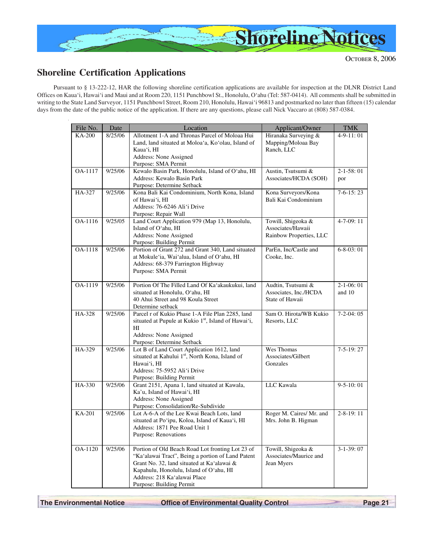

# **Shoreline Certification Applications**

Pursuant to § 13-222-12, HAR the following shoreline certification applications are available for inspection at the DLNR District Land Offices on Kaua'i, Hawai'i and Maui and at Room 220, 1151 Punchbowl St., Honolulu, O'ahu (Tel: 587-0414). All comments shall be submitted in writing to the State Land Surveyor, 1151 Punchbowl Street, Room 210, Honolulu, Hawai'i 96813 and postmarked no later than fifteen (15) calendar days from the date of the public notice of the application. If there are any questions, please call Nick Vaccaro at (808) 587-0384.

| File No.      | Date                 | Location                                                                  | Applicant/Owner          | <b>TMK</b>        |
|---------------|----------------------|---------------------------------------------------------------------------|--------------------------|-------------------|
| <b>KA-200</b> | 8/25/06              | Allotment 1-A and Thronas Parcel of Moloaa Hui                            | Hiranaka Surveying &     | $4-9-11:01$       |
|               |                      | Land, land situated at Moloa'a, Ko'olau, Island of                        | Mapping/Moloaa Bay       |                   |
|               |                      | Kaua'i, HI                                                                | Ranch, LLC               |                   |
|               |                      | Address: None Assigned<br>Purpose: SMA Permit                             |                          |                   |
| OA-1117       | 9/25/06              | Kewalo Basin Park, Honolulu, Island of O'ahu, HI                          | Austin, Tsutsumi &       | $2 - 1 - 58:01$   |
|               |                      | Address: Kewalo Basin Park                                                | Associates/HCDA (SOH)    | por               |
|               |                      | Purpose: Determine Setback                                                |                          |                   |
| HA-327        | 9/25/06              | Kona Bali Kai Condominium, North Kona, Island                             | Kona Surveyors/Kona      | $7-6-15:23$       |
|               |                      | of Hawai'i, HI                                                            | Bali Kai Condominium     |                   |
|               |                      | Address: 76-6246 Ali'i Drive                                              |                          |                   |
| OA-1116       | 9/25/05              | Purpose: Repair Wall<br>Land Court Application 979 (Map 13, Honolulu,     | Towill, Shigeoka &       | $4 - 7 - 09:11$   |
|               |                      | Island of O'ahu, HI                                                       | Associates/Hawaii        |                   |
|               |                      | Address: None Assigned                                                    | Rainbow Properties, LLC  |                   |
|               |                      | Purpose: Building Permit                                                  |                          |                   |
| OA-1118       | 9/25/06              | Portion of Grant 272 and Grant 340, Land situated                         | ParEn, Inc/Castle and    | $6 - 8 - 03$ : 01 |
|               |                      | at Mokule'ia, Wai'alua, Island of O'ahu, HI                               | Cooke, Inc.              |                   |
|               |                      | Address: 68-379 Farrington Highway                                        |                          |                   |
|               |                      | Purpose: SMA Permit                                                       |                          |                   |
| OA-1119       | 9/25/06              | Portion Of The Filled Land Of Ka'akaukukui, land                          | Audtin, Tsutsumi &       | $2 - 1 - 06:01$   |
|               |                      | situated at Honolulu, O'ahu, HI                                           | Associates, Inc./HCDA    | and 10            |
|               |                      | 40 Ahui Street and 98 Koula Street                                        | State of Hawaii          |                   |
|               |                      | Determine setback                                                         |                          |                   |
| HA-328        | 9/25/06              | Parcel r of Kukio Phase 1-A File Plan 2285, land                          | Sam O. Hirota/WB Kukio   | $7-2-04:05$       |
|               |                      | situated at Pupule at Kukio 1st, Island of Hawai'i,<br>HI                 | Resorts, LLC             |                   |
|               |                      | Address: None Assigned                                                    |                          |                   |
|               |                      | Purpose: Determine Setback                                                |                          |                   |
| HA-329        | 9/25/06              | Lot B of Land Court Application 1612, land                                | Wes Thomas               | $7-5-19:27$       |
|               |                      | situated at Kahului 1 <sup>st</sup> , North Kona, Island of               | Associates/Gilbert       |                   |
|               |                      | Hawai'i, HI                                                               | Gonzales                 |                   |
|               |                      | Address: 75-5952 Ali'i Drive                                              |                          |                   |
| HA-330        | $\overline{9}/25/06$ | Purpose: Building Permit<br>Grant 2151, Apana 1, land situated at Kawala, | LLC Kawala               | $9 - 5 - 10:01$   |
|               |                      | Ka'u, Island of Hawai'i, HI                                               |                          |                   |
|               |                      | Address: None Assigned                                                    |                          |                   |
|               |                      | Purpose: Consolidation/Re-Subdivide                                       |                          |                   |
| KA-201        | 9/25/06              | Lot A-6-A of the Lee Kwai Beach Lots, land                                | Roger M. Caires/ Mr. and | $2 - 8 - 19:11$   |
|               |                      | situated at Po'ipu, Koloa, Island of Kaua'i, HI                           | Mrs. John B. Higman      |                   |
|               |                      | Address: 1871 Pee Road Unit 1                                             |                          |                   |
|               |                      | Purpose: Renovations                                                      |                          |                   |
| OA-1120       | 9/25/06              | Portion of Old Beach Road Lot fronting Lot 23 of                          | Towill, Shigeoka &       | $3-1-39:07$       |
|               |                      | "Ka'alawai Tract", Being a portion of Land Patent                         | Associates/Maurice and   |                   |
|               |                      | Grant No. 32, land situated at Ka'alawai &                                | Jean Myers               |                   |
|               |                      | Kapahulu, Honolulu, Island of O'ahu, HI                                   |                          |                   |
|               |                      | Address: 218 Ka'alawai Place<br>Purpose: Building Permit                  |                          |                   |
|               |                      |                                                                           |                          |                   |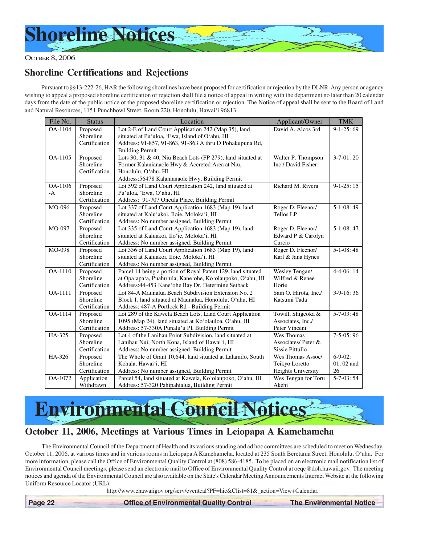

# **Shoreline Certifications and Rejections**

Pursuant to §§13-222-26, HAR the following shorelines have been proposed for certification or rejection by the DLNR. Any person or agency wishing to appeal a proposed shoreline certification or rejection shall file a notice of appeal in writing with the department no later than 20 calendar days from the date of the public notice of the proposed shoreline certification or rejection. The Notice of appeal shall be sent to the Board of Land and Natural Resources, 1151 Punchbowl Street, Room 220, Honolulu, Hawai'i 96813.

| File No. | <b>Status</b> | Location                                                     | Applicant/Owner           | <b>TMK</b>        |
|----------|---------------|--------------------------------------------------------------|---------------------------|-------------------|
| OA-1104  | Proposed      | Lot 2-E of Land Court Application 242 (Map 35), land         | David A. Alcos 3rd        | $9-1-25:69$       |
|          | Shoreline     | situated at Pu'uloa, 'Ewa, Island of O'ahu, HI               |                           |                   |
|          | Certification | Address: 91-857, 91-863, 91-863 A thru D Pohakupuna Rd,      |                           |                   |
|          |               | <b>Building Permit</b>                                       |                           |                   |
| OA-1105  | Proposed      | Lots 30, 31 & 40, Niu Beach Lots (FP 279), land situated at  | Walter P. Thompson        | $3 - 7 - 01:20$   |
|          | Shoreline     | Former Kalanianaole Hwy & Accreted Area at Niu,              | Inc./ David Fisher        |                   |
|          | Certification | Honolulu, O'ahu, HI                                          |                           |                   |
|          |               | Address: 56478 Kalanianaole Hwy, Building Permit             |                           |                   |
| OA-1106  | Proposed      | Lot 592 of Land Court Application 242, land situated at      | Richard M. Rivera         | $9-1-25:15$       |
| $-A$     | Shoreline     | Pu'uloa, 'Ewa, O'ahu, HI                                     |                           |                   |
|          | Certification | Address: 91-707 Oneula Place, Building Permit                |                           |                   |
| MO-096   | Proposed      | Lot 337 of Land Court Application 1683 (Map 19), land        | Roger D. Fleenor/         | $5-1-08:49$       |
|          | Shoreline     | situated at Kalu'akoi, Iloie, Moloka'i, HI                   | <b>Tellos LP</b>          |                   |
|          | Certification | Address: No number assigned, Building Permit                 |                           |                   |
| MO-097   | Proposed      | Lot 335 of Land Court Application 1683 (Map 19), land        | Roger D. Fleenor/         | $5-1-08:47$       |
|          | Shoreline     | situated at Kaluakoi, Ilo'ie, Moloka'i, HI                   | Edward P & Carolyn        |                   |
|          | Certification | Address: No number assigned, Building Permit                 | Curcio                    |                   |
| MO-098   | Proposed      | Lot 336 of Land Court Application 1683 (Map 19), land        | Roger D. Fleenor/         | $5-1-08:48$       |
|          | Shoreline     | situated at Kaluakoi, Iloie, Moloka'i, HI                    | Karl & Jana Hynes         |                   |
|          | Certification | Address: No number assigned, Building Permit                 |                           |                   |
| OA-1110  | Proposed      | Parcel 14 being a portion of Royal Patent 129, land situated | Wesley Tengan/            | 4-4-06:14         |
|          | Shoreline     | at Opa'apa'a, Puahu'ula, Kane'ohe, Ko'olaupoko, O'ahu, HI    | Wilfred & Renee           |                   |
|          | Certification | Address: 44-453 Kane'ohe Bay Dr, Determine Setback           | Horie                     |                   |
| OA-1111  | Proposed      | Lot 84-A Maunalua Beach Subdivision Extension No. 2          | Sam O. Hirota, Inc./      | $3-9-16:36$       |
|          | Shoreline     | Block 1, land situated at Maunalua, Honolulu, O'ahu, HI      | Katsumi Tada              |                   |
|          | Certification | Address: 487-A Portlock Rd - Building Permit                 |                           |                   |
| OA-1114  | Proposed      | Lot 289 of the Kawela Beach Lots, Land Court Application     | Towill, Shigeoka &        | $5 - 7 - 03$ : 48 |
|          | Shoreline     | 1095 (Map 24), land situated at Ko'olauloa, O'ahu, HI        | Associates, Inc./         |                   |
|          | Certification | Address: 57-330A Punalu'u Pl, Building Permit                | Peter Vincent             |                   |
| HA-325   | Proposed      | Lot 4 of the Lanihau Point Subdivision, land situated at     | Wes Thomas                | $7-5-05:96$       |
|          | Shoreline     | Lanihau Nui, North Kona, Island of Hawai'i, HI               | Associates/Peter &        |                   |
|          | Certification | Address: No number assigned, Building Permit                 | Sissie Pittullo           |                   |
| HA-326   | Proposed      | The Whole of Grant 10,644, land situated at Lalamilo, South  | Wes Thomas Assoc/         | $6 - 9 - 02$ :    |
|          | Shoreline     | Kohala, Hawai'i, HI                                          | Teikyo Loretto            | $01, 02$ and      |
|          | Certification | Address: No number assigned, Building Permit                 | <b>Heights University</b> | 26                |
| OA-1072  | Application   | Parcel 54, land situated at Kawela, Ko'olaupoko, O'ahu, HI   | Wes Tengan for Toru       | 5-7-03: 54        |
|          | Withdrawn     | Address: 57-320 Pahipahialua, Building Permit                | Akehi                     |                   |

**Environmental Council Not** 

## **October 11, 2006, Meetings at Various Times in Leiopapa A Kamehameha**

The Environmental Council of the Department of Health and its various standing and ad hoc committees are scheduled to meet on Wednesday, October 11, 2006, at various times and in various rooms in Leiopapa A Kamehameha, located at 235 South Beretania Street, Honolulu, O'ahu. For more information, please call the Office of Environmental Quality Control at (808) 586-4185. To be placed on an electronic mail notification list of Environmental Council meetings, please send an electronic mail to Office of Environmental Quality Control at oeqc@doh.hawaii.gov. The meeting notices and agenda of the Environmental Council are also available on the State's Calendar Meeting Announcements Internet Website at the following Uniform Resource Locator (URL):

http://www.ehawaiigov.org/serv/eventcal?PF=hic&Clist=81&\_action=View+Calendar.

 **Page 22 Control Control Departmental Cuality Control The Environmental Notice**